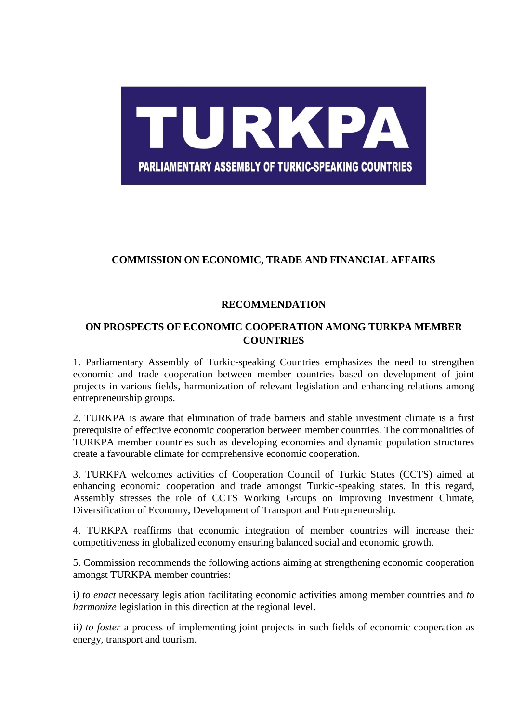

## **COMMISSION ON ECONOMIC, TRADE AND FINANCIAL AFFAIRS**

## **RECOMMENDATION**

## **ON PROSPECTS OF ECONOMIC COOPERATION AMONG TURKPA MEMBER COUNTRIES**

1. Parliamentary Assembly of Turkic-speaking Countries emphasizes the need to strengthen economic and trade cooperation between member countries based on development of joint projects in various fields, harmonization of relevant legislation and enhancing relations among entrepreneurship groups.

2. TURKPA is aware that elimination of trade barriers and stable investment climate is a first prerequisite of effective economic cooperation between member countries. The commonalities of TURKPA member countries such as developing economies and dynamic population structures create a favourable climate for comprehensive economic cooperation.

3. TURKPA welcomes activities of Cooperation Council of Turkic States (CCTS) aimed at enhancing economic cooperation and trade amongst Turkic-speaking states. In this regard, Assembly stresses the role of CCTS Working Groups on Improving Investment Climate, Diversification of Economy, Development of Transport and Entrepreneurship.

4. TURKPA reaffirms that economic integration of member countries will increase their competitiveness in globalized economy ensuring balanced social and economic growth.

5. Commission recommends the following actions aiming at strengthening economic cooperation amongst TURKPA member countries:

i*) to enact* necessary legislation facilitating economic activities among member countries and *to harmonize* legislation in this direction at the regional level.

ii*) to foster* a process of implementing joint projects in such fields of economic cooperation as energy, transport and tourism.